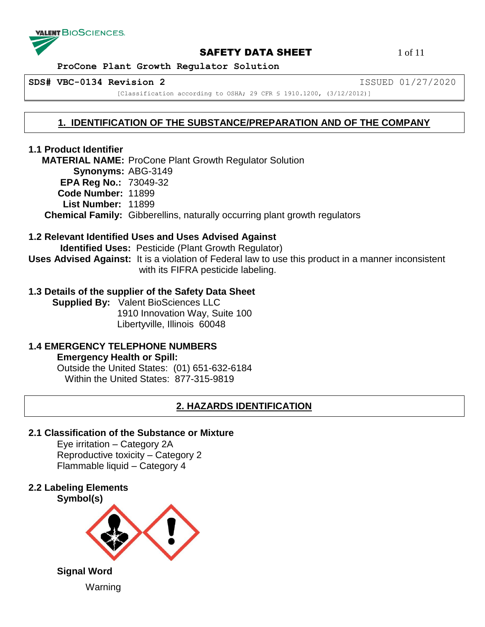

## **SAFETY DATA SHEET** 1 of 11

 **ProCone Plant Growth Regulator Solution**

**SDS# VBC-0134 Revision 2** ISSUED 01/27/2020

[Classification according to OSHA; 29 CFR § 1910.1200, (3/12/2012)]

# **1. IDENTIFICATION OF THE SUBSTANCE/PREPARATION AND OF THE COMPANY**

# **1.1 Product Identifier**

 **MATERIAL NAME:** ProCone Plant Growth Regulator Solution **Synonyms:** ABG-3149 **EPA Reg No.:** 73049-32 **Code Number:** 11899 **List Number:** 11899  **Chemical Family:** Gibberellins, naturally occurring plant growth regulators

# **1.2 Relevant Identified Uses and Uses Advised Against**

 **Identified Uses:** Pesticide (Plant Growth Regulator) **Uses Advised Against:** It is a violation of Federal law to use this product in a manner inconsistent with its FIFRA pesticide labeling.

# **1.3 Details of the supplier of the Safety Data Sheet**

 **Supplied By:** Valent BioSciences LLC 1910 Innovation Way, Suite 100 Libertyville, Illinois 60048

#### **1.4 EMERGENCY TELEPHONE NUMBERS Emergency Health or Spill:**

Outside the United States: (01) 651-632-6184 Within the United States: 877-315-9819

# **2. HAZARDS IDENTIFICATION**

## **2.1 Classification of the Substance or Mixture**

Eye irritation – Category 2A Reproductive toxicity – Category 2 Flammable liquid – Category 4

**2.2 Labeling Elements**

Warning

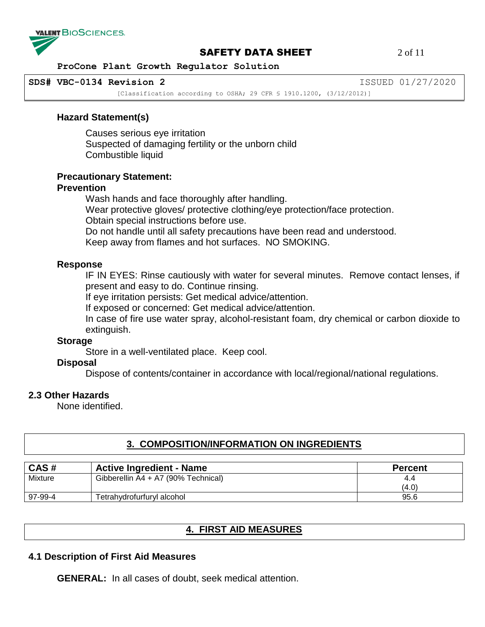

#### **SAFETY DATA SHEET** 2 of 11

 **ProCone Plant Growth Regulator Solution**

**SDS# VBC-0134 Revision 2** ISSUED 01/27/2020

[Classification according to OSHA; 29 CFR \$ 1910.1200, (3/12/2012)]

#### **Hazard Statement(s)**

Causes serious eye irritation Suspected of damaging fertility or the unborn child Combustible liquid

#### **Precautionary Statement:**

#### **Prevention**

Wash hands and face thoroughly after handling. Wear protective gloves/ protective clothing/eye protection/face protection. Obtain special instructions before use. Do not handle until all safety precautions have been read and understood. Keep away from flames and hot surfaces. NO SMOKING.

#### **Response**

IF IN EYES: Rinse cautiously with water for several minutes. Remove contact lenses, if present and easy to do. Continue rinsing.

If eye irritation persists: Get medical advice/attention.

If exposed or concerned: Get medical advice/attention.

In case of fire use water spray, alcohol-resistant foam, dry chemical or carbon dioxide to extinguish.

#### **Storage**

Store in a well-ventilated place. Keep cool.

## **Disposal**

Dispose of contents/container in accordance with local/regional/national regulations.

## **2.3 Other Hazards**

None identified.

## **3. COMPOSITION/INFORMATION ON INGREDIENTS**

| CAS#    | <b>Active Ingredient - Name</b>     | <b>Percent</b> |
|---------|-------------------------------------|----------------|
| Mixture | Gibberellin A4 + A7 (90% Technical) | 4.4            |
|         |                                     | (4.0)          |
| 97-99-4 | Tetrahydrofurfuryl alcohol          | 95.6           |

## **4. FIRST AID MEASURES**

## **4.1 Description of First Aid Measures**

**GENERAL:** In all cases of doubt, seek medical attention.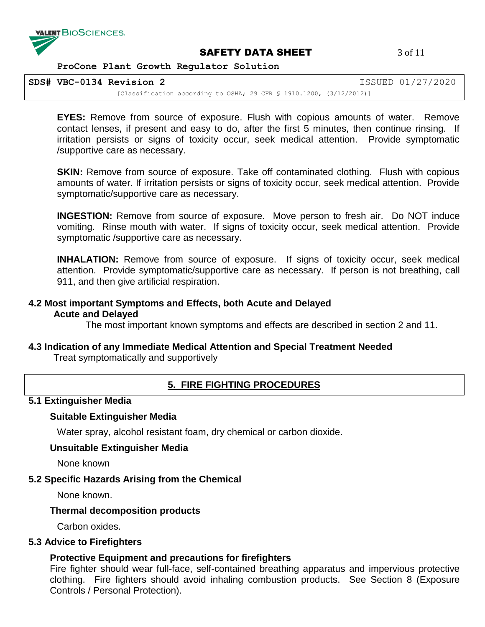

## **SAFETY DATA SHEET** 3 of 11

 **ProCone Plant Growth Regulator Solution**

**SDS# VBC-0134 Revision 2** ISSUED 01/27/2020

[Classification according to OSHA; 29 CFR § 1910.1200, (3/12/2012)]

**EYES:** Remove from source of exposure. Flush with copious amounts of water. Remove contact lenses, if present and easy to do, after the first 5 minutes, then continue rinsing. If irritation persists or signs of toxicity occur, seek medical attention. Provide symptomatic /supportive care as necessary.

**SKIN:** Remove from source of exposure. Take off contaminated clothing. Flush with copious amounts of water. If irritation persists or signs of toxicity occur, seek medical attention. Provide symptomatic/supportive care as necessary.

**INGESTION:** Remove from source of exposure. Move person to fresh air. Do NOT induce vomiting. Rinse mouth with water. If signs of toxicity occur, seek medical attention. Provide symptomatic /supportive care as necessary.

**INHALATION:** Remove from source of exposure. If signs of toxicity occur, seek medical attention. Provide symptomatic/supportive care as necessary. If person is not breathing, call 911, and then give artificial respiration.

# **4.2 Most important Symptoms and Effects, both Acute and Delayed Acute and Delayed**

The most important known symptoms and effects are described in section 2 and 11.

# **4.3 Indication of any Immediate Medical Attention and Special Treatment Needed**

Treat symptomatically and supportively

# **5. FIRE FIGHTING PROCEDURES**

## **5.1 Extinguisher Media**

## **Suitable Extinguisher Media**

Water spray, alcohol resistant foam, dry chemical or carbon dioxide.

## **Unsuitable Extinguisher Media**

None known

# **5.2 Specific Hazards Arising from the Chemical**

None known.

# **Thermal decomposition products**

Carbon oxides.

# **5.3 Advice to Firefighters**

# **Protective Equipment and precautions for firefighters**

Fire fighter should wear full-face, self-contained breathing apparatus and impervious protective clothing. Fire fighters should avoid inhaling combustion products. See Section 8 (Exposure Controls / Personal Protection).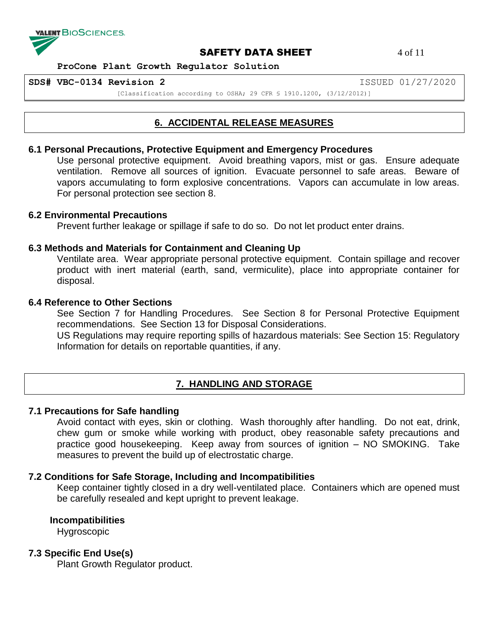

**SAFETY DATA SHEET** 4 of 11

 **ProCone Plant Growth Regulator Solution**

**SDS# VBC-0134 Revision 2** ISSUED 01/27/2020

[Classification according to OSHA; 29 CFR § 1910.1200, (3/12/2012)]

# **6. ACCIDENTAL RELEASE MEASURES**

#### **6.1 Personal Precautions, Protective Equipment and Emergency Procedures**

Use personal protective equipment. Avoid breathing vapors, mist or gas. Ensure adequate ventilation. Remove all sources of ignition. Evacuate personnel to safe areas. Beware of vapors accumulating to form explosive concentrations. Vapors can accumulate in low areas. For personal protection see section 8.

#### **6.2 Environmental Precautions**

Prevent further leakage or spillage if safe to do so. Do not let product enter drains.

#### **6.3 Methods and Materials for Containment and Cleaning Up**

Ventilate area. Wear appropriate personal protective equipment. Contain spillage and recover product with inert material (earth, sand, vermiculite), place into appropriate container for disposal.

## **6.4 Reference to Other Sections**

See Section 7 for Handling Procedures. See Section 8 for Personal Protective Equipment recommendations. See Section 13 for Disposal Considerations.

US Regulations may require reporting spills of hazardous materials: See Section 15: Regulatory Information for details on reportable quantities, if any.

# **7. HANDLING AND STORAGE**

#### **7.1 Precautions for Safe handling**

Avoid contact with eyes, skin or clothing. Wash thoroughly after handling. Do not eat, drink, chew gum or smoke while working with product, obey reasonable safety precautions and practice good housekeeping. Keep away from sources of ignition – NO SMOKING. Take measures to prevent the build up of electrostatic charge.

## **7.2 Conditions for Safe Storage, Including and Incompatibilities**

Keep container tightly closed in a dry well-ventilated place. Containers which are opened must be carefully resealed and kept upright to prevent leakage.

**Incompatibilities**

Hygroscopic

# **7.3 Specific End Use(s)**

Plant Growth Regulator product.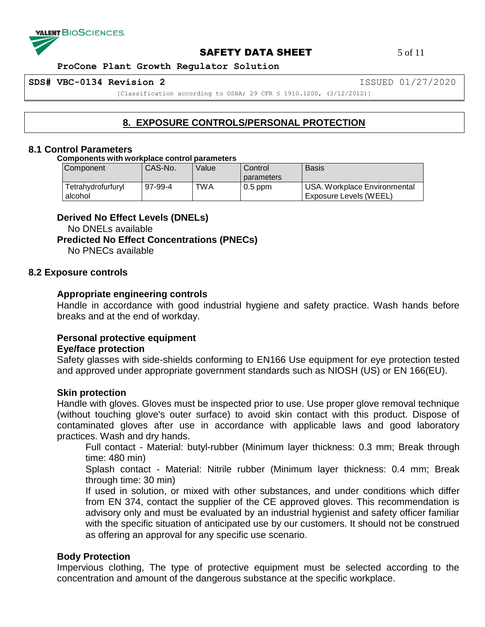

#### **SAFETY DATA SHEET** 5 of 11

 **ProCone Plant Growth Regulator Solution**

**SDS# VBC-0134 Revision 2** ISSUED 01/27/2020

[Classification according to OSHA; 29 CFR § 1910.1200, (3/12/2012)]

# **8. EXPOSURE CONTROLS/PERSONAL PROTECTION**

#### **8.1 Control Parameters**

**Components with workplace control parameters**

| Component                     | CAS-No. | Value | Control    | <b>Basis</b>                                           |
|-------------------------------|---------|-------|------------|--------------------------------------------------------|
|                               |         |       | parameters |                                                        |
| Tetrahydrofurfuryl<br>alcohol | 97-99-4 | TWA   | $0.5$ ppm  | USA. Workplace Environmental<br>Exposure Levels (WEEL) |

#### **Derived No Effect Levels (DNELs)**

No DNELs available **Predicted No Effect Concentrations (PNECs)** No PNECs available

## **8.2 Exposure controls**

## **Appropriate engineering controls**

Handle in accordance with good industrial hygiene and safety practice. Wash hands before breaks and at the end of workday.

## **Personal protective equipment**

#### **Eye/face protection**

Safety glasses with side-shields conforming to EN166 Use equipment for eye protection tested and approved under appropriate government standards such as NIOSH (US) or EN 166(EU).

#### **Skin protection**

Handle with gloves. Gloves must be inspected prior to use. Use proper glove removal technique (without touching glove's outer surface) to avoid skin contact with this product. Dispose of contaminated gloves after use in accordance with applicable laws and good laboratory practices. Wash and dry hands.

Full contact - Material: butyl-rubber (Minimum layer thickness: 0.3 mm; Break through time: 480 min)

Splash contact - Material: Nitrile rubber (Minimum layer thickness: 0.4 mm; Break through time: 30 min)

If used in solution, or mixed with other substances, and under conditions which differ from EN 374, contact the supplier of the CE approved gloves. This recommendation is advisory only and must be evaluated by an industrial hygienist and safety officer familiar with the specific situation of anticipated use by our customers. It should not be construed as offering an approval for any specific use scenario.

## **Body Protection**

Impervious clothing, The type of protective equipment must be selected according to the concentration and amount of the dangerous substance at the specific workplace.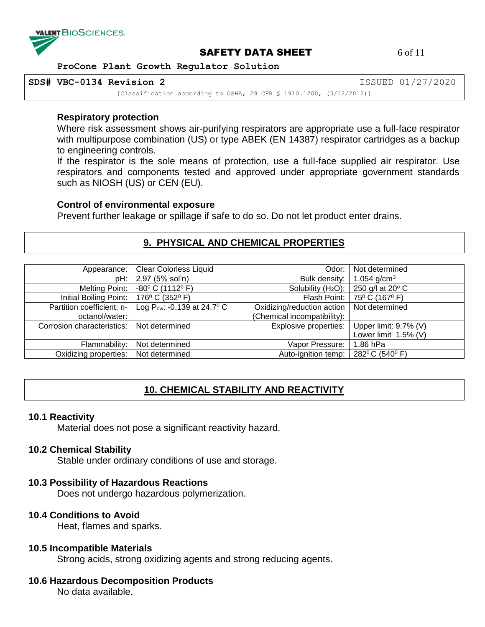

# **SAFETY DATA SHEET** 6 of 11

 **ProCone Plant Growth Regulator Solution**

**SDS# VBC-0134 Revision 2** ISSUED 01/27/2020

[Classification according to OSHA; 29 CFR § 1910.1200, (3/12/2012)]

#### **Respiratory protection**

Where risk assessment shows air-purifying respirators are appropriate use a full-face respirator with multipurpose combination (US) or type ABEK (EN 14387) respirator cartridges as a backup to engineering controls.

If the respirator is the sole means of protection, use a full-face supplied air respirator. Use respirators and components tested and approved under appropriate government standards such as NIOSH (US) or CEN (EU).

#### **Control of environmental exposure**

Prevent further leakage or spillage if safe to do so. Do not let product enter drains.

#### **9. PHYSICAL AND CHEMICAL PROPERTIES**

| Appearance:                | <b>Clear Colorless Liquid</b>        | Odor:                          | Not determined                                        |
|----------------------------|--------------------------------------|--------------------------------|-------------------------------------------------------|
| pH:                        | 2.97 (5% sol'n)                      | Bulk density:                  | 1.054 $q/cm3$                                         |
| <b>Melting Point:</b>      | $-80^{\circ}$ C (1112 $^{\circ}$ F)  | Solubility (H <sub>2</sub> O): | 250 g/l at 20° C                                      |
| Initial Boiling Point:     | 176 $^{\circ}$ C (352 $^{\circ}$ F)  |                                | Flash Point:   75 <sup>0</sup> C (167 <sup>0</sup> F) |
| Partition coefficient; n-  | Log Pow: -0.139 at 24.7 $\rm ^{0}$ C | Oxidizing/reduction action     | Not determined                                        |
| octanol/water:             |                                      | (Chemical incompatibility):    |                                                       |
| Corrosion characteristics: | Not determined                       | Explosive properties:          | Upper limit: 9.7% (V)                                 |
|                            |                                      |                                | Lower limit $1.5\%$ (V)                               |
| Flammability:              | Not determined                       | Vapor Pressure:                | 1.86 hPa                                              |
| Oxidizing properties:      | Not determined                       | Auto-ignition temp:            | 282ºC (540ºF)                                         |

# **10. CHEMICAL STABILITY AND REACTIVITY**

#### **10.1 Reactivity**

Material does not pose a significant reactivity hazard.

#### **10.2 Chemical Stability**

Stable under ordinary conditions of use and storage.

#### **10.3 Possibility of Hazardous Reactions**

Does not undergo hazardous polymerization.

# **10.4 Conditions to Avoid**

Heat, flames and sparks.

#### **10.5 Incompatible Materials**

Strong acids, strong oxidizing agents and strong reducing agents.

#### **10.6 Hazardous Decomposition Products**

No data available.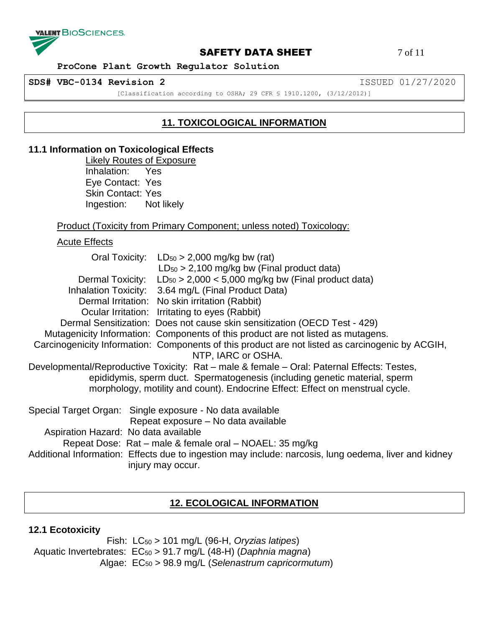

# **SAFETY DATA SHEET** 7 of 11

 **ProCone Plant Growth Regulator Solution**

**SDS# VBC-0134 Revision 2** ISSUED 01/27/2020

[Classification according to OSHA; 29 CFR § 1910.1200, (3/12/2012)]

# **11. TOXICOLOGICAL INFORMATION**

# **11.1 Information on Toxicological Effects**

Likely Routes of Exposure Inhalation: Yes Eye Contact: Yes Skin Contact: Yes Ingestion: Not likely

#### Product (Toxicity from Primary Component; unless noted) Toxicology:

Acute Effects

|                                      | Oral Toxicity: $LD_{50} > 2,000$ mg/kg bw (rat)<br>$LD_{50}$ > 2,100 mg/kg bw (Final product data)                                                                                                                                                        |
|--------------------------------------|-----------------------------------------------------------------------------------------------------------------------------------------------------------------------------------------------------------------------------------------------------------|
|                                      | Dermal Toxicity: $LD_{50} > 2,000 < 5,000$ mg/kg bw (Final product data)                                                                                                                                                                                  |
|                                      | Inhalation Toxicity: 3.64 mg/L (Final Product Data)                                                                                                                                                                                                       |
|                                      | Dermal Irritation: No skin irritation (Rabbit)                                                                                                                                                                                                            |
|                                      | Ocular Irritation: Irritating to eyes (Rabbit)                                                                                                                                                                                                            |
|                                      | Dermal Sensitization: Does not cause skin sensitization (OECD Test - 429)                                                                                                                                                                                 |
|                                      | Mutagenicity Information: Components of this product are not listed as mutagens.                                                                                                                                                                          |
|                                      | Carcinogenicity Information: Components of this product are not listed as carcinogenic by ACGIH,<br>NTP, IARC or OSHA.                                                                                                                                    |
|                                      | Developmental/Reproductive Toxicity: Rat - male & female - Oral: Paternal Effects: Testes,<br>epididymis, sperm duct. Spermatogenesis (including genetic material, sperm<br>morphology, motility and count). Endocrine Effect: Effect on menstrual cycle. |
|                                      | Special Target Organ: Single exposure - No data available<br>Repeat exposure – No data available                                                                                                                                                          |
| Aspiration Hazard: No data available |                                                                                                                                                                                                                                                           |
|                                      | Repeat Dose: Rat – male & female oral – NOAEL: 35 mg/kg                                                                                                                                                                                                   |
|                                      | Additional Information: Effects due to ingestion may include: narcosis, lung oedema, liver and kidney<br>injury may occur.                                                                                                                                |

## **12. ECOLOGICAL INFORMATION**

#### **12.1 Ecotoxicity**

 Fish: LC<sup>50</sup> > 101 mg/L (96-H, *Oryzias latipes*) Aquatic Invertebrates: EC<sup>50</sup> > 91.7 mg/L (48-H) (*Daphnia magna*) Algae: EC<sup>50</sup> > 98.9 mg/L (*Selenastrum capricormutum*)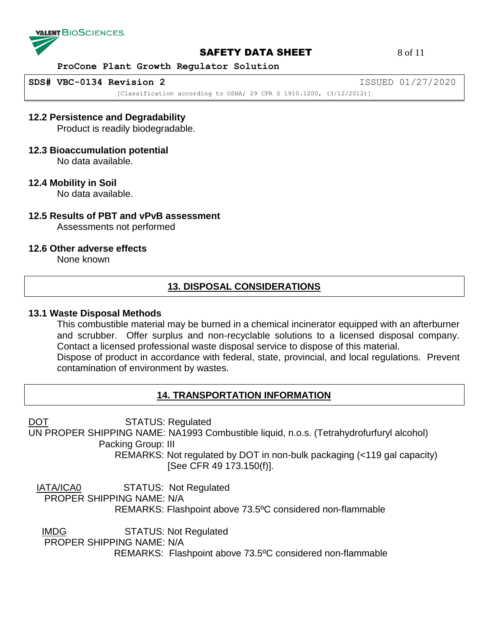

# **SAFETY DATA SHEET** 8 of 11

 **ProCone Plant Growth Regulator Solution**

**SDS# VBC-0134 Revision 2** ISSUED 01/27/2020

[Classification according to OSHA; 29 CFR \$ 1910.1200, (3/12/2012)]

## **12.2 Persistence and Degradability**

Product is readily biodegradable.

#### **12.3 Bioaccumulation potential**

No data available.

#### **12.4 Mobility in Soil**

No data available.

# **12.5 Results of PBT and vPvB assessment**

Assessments not performed

#### **12.6 Other adverse effects**

None known

# **13. DISPOSAL CONSIDERATIONS**

#### **13.1 Waste Disposal Methods**

This combustible material may be burned in a chemical incinerator equipped with an afterburner and scrubber. Offer surplus and non-recyclable solutions to a licensed disposal company. Contact a licensed professional waste disposal service to dispose of this material. Dispose of product in accordance with federal, state, provincial, and local regulations. Prevent contamination of environment by wastes.

# **14. TRANSPORTATION INFORMATION**

DOT STATUS: Regulated

UN PROPER SHIPPING NAME: NA1993 Combustible liquid, n.o.s. (Tetrahydrofurfuryl alcohol) Packing Group: III

> REMARKS: Not regulated by DOT in non-bulk packaging (<119 gal capacity) [See CFR 49 173.150(f)].

IATA/ICA0 STATUS: Not Regulated

PROPER SHIPPING NAME: N/A

REMARKS: Flashpoint above 73.5ºC considered non-flammable

IMDG STATUS: Not Regulated

PROPER SHIPPING NAME: N/A

REMARKS: Flashpoint above 73.5ºC considered non-flammable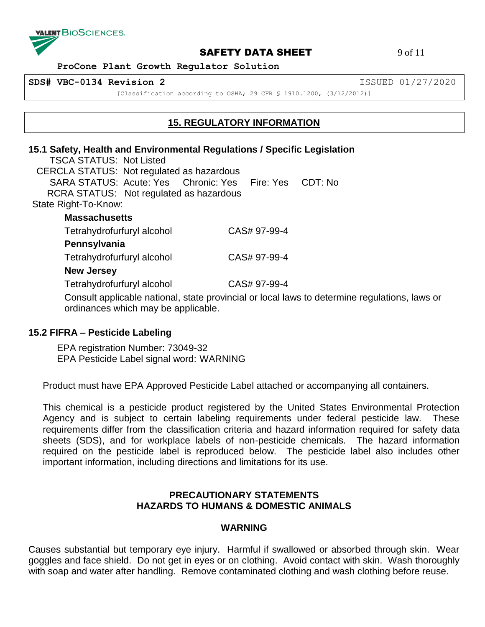

#### **SAFETY DATA SHEET** 9 of 11

 **ProCone Plant Growth Regulator Solution**

**SDS# VBC-0134 Revision 2** ISSUED 01/27/2020

[Classification according to OSHA; 29 CFR § 1910.1200, (3/12/2012)]

# **15. REGULATORY INFORMATION**

# **15.1 Safety, Health and Environmental Regulations / Specific Legislation**

 TSCA STATUS: Not Listed CERCLA STATUS: Not regulated as hazardous SARA STATUS: Acute: Yes Chronic: Yes Fire: Yes CDT: No RCRA STATUS: Not regulated as hazardous State Right-To-Know: **Massachusetts** 

Tetrahydrofurfuryl alcohol CAS# 97-99-4

# **Pennsylvania**

Tetrahydrofurfuryl alcohol CAS# 97-99-4

# **New Jersey**

Tetrahydrofurfuryl alcohol CAS# 97-99-4

Consult applicable national, state provincial or local laws to determine regulations, laws or ordinances which may be applicable.

# **15.2 FIFRA – Pesticide Labeling**

EPA registration Number: 73049-32 EPA Pesticide Label signal word: WARNING

Product must have EPA Approved Pesticide Label attached or accompanying all containers.

This chemical is a pesticide product registered by the United States Environmental Protection Agency and is subject to certain labeling requirements under federal pesticide law. These requirements differ from the classification criteria and hazard information required for safety data sheets (SDS), and for workplace labels of non-pesticide chemicals. The hazard information required on the pesticide label is reproduced below. The pesticide label also includes other important information, including directions and limitations for its use.

# **PRECAUTIONARY STATEMENTS HAZARDS TO HUMANS & DOMESTIC ANIMALS**

# **WARNING**

Causes substantial but temporary eye injury. Harmful if swallowed or absorbed through skin. Wear goggles and face shield. Do not get in eyes or on clothing. Avoid contact with skin. Wash thoroughly with soap and water after handling. Remove contaminated clothing and wash clothing before reuse.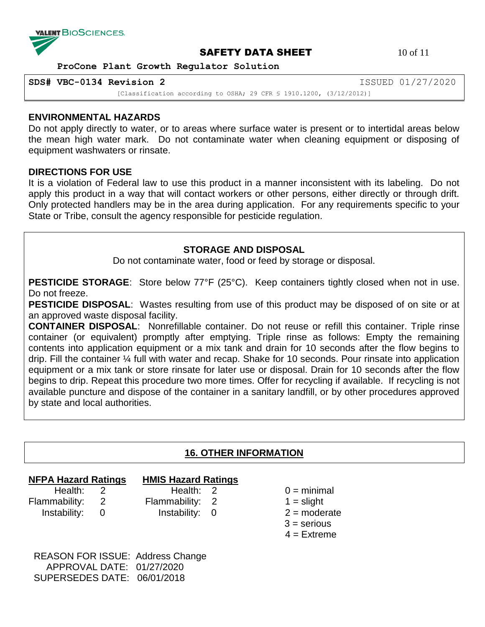

# **SAFETY DATA SHEET** 10 of 11

 **ProCone Plant Growth Regulator Solution**

**SDS# VBC-0134 Revision 2** ISSUED 01/27/2020

[Classification according to OSHA; 29 CFR § 1910.1200, (3/12/2012)]

#### **ENVIRONMENTAL HAZARDS**

Do not apply directly to water, or to areas where surface water is present or to intertidal areas below the mean high water mark. Do not contaminate water when cleaning equipment or disposing of equipment washwaters or rinsate.

## **DIRECTIONS FOR USE**

It is a violation of Federal law to use this product in a manner inconsistent with its labeling. Do not apply this product in a way that will contact workers or other persons, either directly or through drift. Only protected handlers may be in the area during application. For any requirements specific to your State or Tribe, consult the agency responsible for pesticide regulation.

## **STORAGE AND DISPOSAL**

Do not contaminate water, food or feed by storage or disposal.

**PESTICIDE STORAGE:** Store below 77°F (25°C). Keep containers tightly closed when not in use. Do not freeze.

**PESTICIDE DISPOSAL**: Wastes resulting from use of this product may be disposed of on site or at an approved waste disposal facility.

**CONTAINER DISPOSAL**: Nonrefillable container. Do not reuse or refill this container. Triple rinse container (or equivalent) promptly after emptying. Triple rinse as follows: Empty the remaining contents into application equipment or a mix tank and drain for 10 seconds after the flow begins to drip. Fill the container ¼ full with water and recap. Shake for 10 seconds. Pour rinsate into application equipment or a mix tank or store rinsate for later use or disposal. Drain for 10 seconds after the flow begins to drip. Repeat this procedure two more times. Offer for recycling if available. If recycling is not available puncture and dispose of the container in a sanitary landfill, or by other procedures approved by state and local authorities.

## **16. OTHER INFORMATION**

# **NFPA Hazard Ratings HMIS Hazard Ratings**

- Flammability: 2 Flammability: 2 1 = slight Instability: 0 Instability: 0 2 = moderate
	-
- Health: 2 Health: 2 0 = minimal
	-
	-
	- $3$  = serious
	- $4 =$ Extreme

 REASON FOR ISSUE: Address Change APPROVAL DATE: 01/27/2020 SUPERSEDES DATE: 06/01/2018